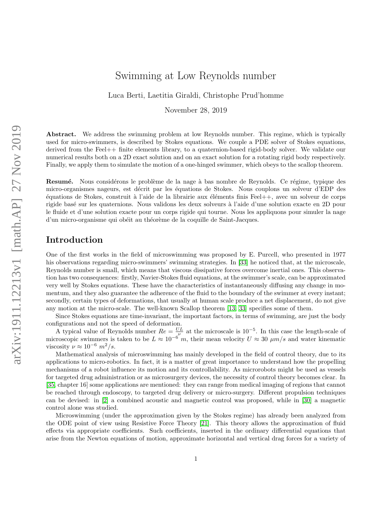# Swimming at Low Reynolds number

Luca Berti, Laetitia Giraldi, Christophe Prud'homme

November 28, 2019

Abstract. We address the swimming problem at low Reynolds number. This regime, which is typically used for micro-swimmers, is described by Stokes equations. We couple a PDE solver of Stokes equations, derived from the Feel++ finite elements library, to a quaternion-based rigid-body solver. We validate our numerical results both on a 2D exact solution and on an exact solution for a rotating rigid body respectively. Finally, we apply them to simulate the motion of a one-hinged swimmer, which obeys to the scallop theorem.

Resumé. Nous considérons le problème de la nage à bas nombre de Reynolds. Ce régime, typique des micro-organismes nageurs, est décrit par les équations de Stokes. Nous couplons un solveur d'EDP des ´equations de Stokes, construit `a l'aide de la librairie aux ´el´ements finis Feel++, avec un solveur de corps rigide bas´e sur les quaternions. Nous validons les deux solveurs `a l'aide d'une solution exacte en 2D pour le fluide et d'une solution exacte pour un corps rigide qui tourne. Nous les appliquons pour simuler la nage d'un micro-organisme qui obéit au théorème de la coquille de Saint-Jacques.

### Introduction

One of the first works in the field of microswimming was proposed by E. Purcell, who presented in 1977 his observations regarding micro-swimmers' swimming strategies. In [\[33\]](#page-14-0) he noticed that, at the microscale, Reynolds number is small, which means that viscous dissipative forces overcome inertial ones. This observation has two consequences: firstly, Navier-Stokes fluid equations, at the swimmer's scale, can be approximated very well by Stokes equations. These have the characteristics of instantaneously diffusing any change in momentum, and they also guarantee the adherence of the fluid to the boundary of the swimmer at every instant; secondly, certain types of deformations, that usually at human scale produce a net displacement, do not give any motion at the micro-scale. The well-known Scallop theorem  $[13, 33]$  $[13, 33]$  specifies some of them.

Since Stokes equations are time-invariant, the important factors, in terms of swimming, are just the body configurations and not the speed of deformation.

A typical value of Reynolds number  $Re = \frac{UL}{c^{\nu}}$  at the microscale is 10<sup>-5</sup>. In this case the length-scale of microscopic swimmers is taken to be  $L \approx 10^{-6}$  m, their mean velocity  $U \approx 30 \ \mu m/s$  and water kinematic viscosity  $\nu \approx 10^{-6} m^2/s$ .

Mathematical analysis of microswimming has mainly developed in the field of control theory, due to its applications to micro-robotics. In fact, it is a matter of great importance to understand how the propelling mechanisms of a robot influence its motion and its controllability. As microrobots might be used as vessels for targeted drug administration or as microsurgery devices, the necessity of control theory becomes clear. In [\[35,](#page-14-1) chapter 16] some applications are mentioned: they can range from medical imaging of regions that cannot be reached through endoscopy, to targeted drug delivery or micro-surgery. Different propulsion techniques can be devised: in [\[2\]](#page-12-0) a combined acoustic and magnetic control was proposed, while in [\[30\]](#page-14-2) a magnetic control alone was studied.

Microswimming (under the approximation given by the Stokes regime) has already been analyzed from the ODE point of view using Resistive Force Theory [\[21\]](#page-13-1). This theory allows the approximation of fluid effects via appropriate coefficients. Such coefficients, inserted in the ordinary differential equations that arise from the Newton equations of motion, approximate horizontal and vertical drag forces for a variety of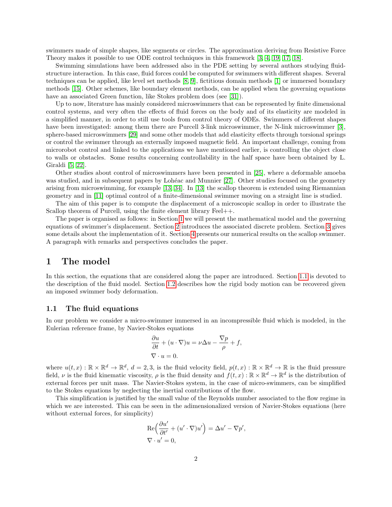swimmers made of simple shapes, like segments or circles. The approximation deriving from Resistive Force Theory makes it possible to use ODE control techniques in this framework [\[3,](#page-12-1) [4,](#page-12-2) [19,](#page-13-2) [17,](#page-13-3) [18\]](#page-13-4).

Swimming simulations have been addressed also in the PDE setting by several authors studying fluidstructure interaction. In this case, fluid forces could be computed for swimmers with different shapes. Several techniques can be applied, like level set methods [\[8,](#page-12-3) [9\]](#page-13-5), fictitious domain methods [\[1\]](#page-12-4) or immersed boundary methods [\[15\]](#page-13-6). Other schemes, like boundary element methods, can be applied when the governing equations have an associated Green function, like Stokes problem does (see [\[31\]](#page-14-3)).

Up to now, literature has mainly considered microswimmers that can be represented by finite dimensional control systems, and very often the effects of fluid forces on the body and of its elasticity are modeled in a simplified manner, in order to still use tools from control theory of ODEs. Swimmers of different shapes have been investigated: among them there are Purcell 3-link microswimmer, the N-link microswimmer [\[3\]](#page-12-1), sphere-based microswimmers [\[29\]](#page-14-4) and some other models that add elasticity effects through torsional springs or control the swimmer through an externally imposed magnetic field. An important challenge, coming from microrobot control and linked to the applications we have mentioned earlier, is controlling the object close to walls or obstacles. Some results concerning controllability in the half space have been obtained by L. Giraldi [\[5,](#page-12-5) [22\]](#page-13-7).

Other studies about control of microswimmers have been presented in [\[25\]](#page-13-8), where a deformable amoeba was studied, and in subsequent papers by Lohéac and Munnier [\[27\]](#page-13-9). Other studies focused on the geometry arising from microswimming, for example [\[13,](#page-13-0) [34\]](#page-14-5). In [\[13\]](#page-13-0) the scallop theorem is extended using Riemannian geometry and in [\[11\]](#page-13-10) optimal control of a finite-dimensional swimmer moving on a straight line is studied.

The aim of this paper is to compute the displacement of a microscopic scallop in order to illustrate the Scallop theorem of Purcell, using the finite element library Feel++.

The paper is organised as follows: in Section [1](#page-1-0) we will present the mathematical model and the governing equations of swimmer's displacement. Section [2](#page-3-0) introduces the associated discrete problem. Section [3](#page-5-0) gives some details about the implementation of it. Section [4](#page-5-1) presents our numerical results on the scallop swimmer. A paragraph with remarks and perspectives concludes the paper.

# <span id="page-1-0"></span>1 The model

In this section, the equations that are considered along the paper are introduced. Section [1.1](#page-1-1) is devoted to the description of the fluid model. Section [1.2](#page-2-0) describes how the rigid body motion can be recovered given an imposed swimmer body deformation.

#### <span id="page-1-1"></span>1.1 The fluid equations

In our problem we consider a micro-swimmer immersed in an incompressible fluid which is modeled, in the Eulerian reference frame, by Navier-Stokes equations

$$
\frac{\partial u}{\partial t} + (u \cdot \nabla)u = \nu \Delta u - \frac{\nabla p}{\rho} + f,
$$
  

$$
\nabla \cdot u = 0.
$$

where  $u(t, x): \mathbb{R} \times \mathbb{R}^d \to \mathbb{R}^d$ ,  $d = 2, 3$ , is the fluid velocity field,  $p(t, x): \mathbb{R} \times \mathbb{R}^d \to \mathbb{R}$  is the fluid pressure field,  $\nu$  is the fluid kinematic viscosity,  $\rho$  is the fluid density and  $f(t, x) : \mathbb{R} \times \mathbb{R}^d \to \mathbb{R}^d$  is the distribution of external forces per unit mass. The Navier-Stokes system, in the case of micro-swimmers, can be simplified to the Stokes equations by neglecting the inertial contributions of the flow.

This simplification is justified by the small value of the Reynolds number associated to the flow regime in which we are interested. This can be seen in the adimensionalized version of Navier-Stokes equations (here without external forces, for simplicity)

$$
\operatorname{Re}\left(\frac{\partial u'}{\partial t'} + (u' \cdot \nabla)u'\right) = \Delta u' - \nabla p',
$$
  

$$
\nabla \cdot u' = 0,
$$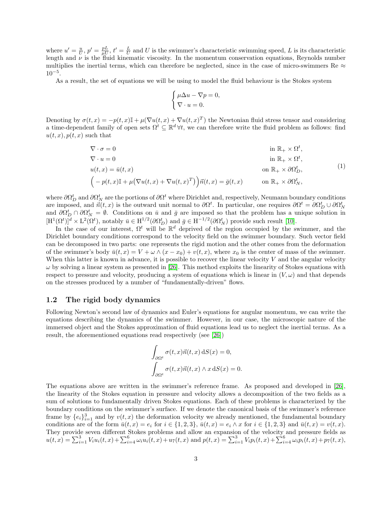where  $u' = \frac{u}{U}$ ,  $p' = \frac{pL}{\mu U}$ ,  $t' = \frac{L}{U}$  and U is the swimmer's characteristic swimming speed, L is its characteristic length and  $\nu$  is the fluid kinematic viscosity. In the momentum conservation equations, Reynolds number multiplies the inertial terms, which can therefore be neglected, since in the case of micro-swimmers Re  $\approx$ 10−<sup>5</sup> .

As a result, the set of equations we will be using to model the fluid behaviour is the Stokes system

$$
\begin{cases} \mu \Delta u - \nabla p = 0, \\ \nabla \cdot u = 0. \end{cases}
$$

Denoting by  $\sigma(t,x) = -p(t,x)\mathbb{I} + \mu(\nabla u(t,x) + \nabla u(t,x)^T)$  the Newtonian fluid stress tensor and considering a time-dependent family of open sets  $\Omega^t \subseteq \mathbb{R}^d \forall t$ , we can therefore write the fluid problem as follows: find  $u(t, x), p(t, x)$  such that

<span id="page-2-1"></span>
$$
\nabla \cdot \sigma = 0 \qquad \text{in } \mathbb{R}_+ \times \Omega^t,
$$
  
\n
$$
\nabla \cdot u = 0 \qquad \text{in } \mathbb{R}_+ \times \Omega^t,
$$
  
\n
$$
u(t, x) = \bar{u}(t, x) \qquad \text{on } \mathbb{R}_+ \times \partial \Omega^t_D,
$$
  
\n
$$
\left(-p(t, x)\mathbb{I} + \mu(\nabla u(t, x) + \nabla u(t, x)^T)\right)\vec{n}(t, x) = \bar{g}(t, x) \qquad \text{on } \mathbb{R}_+ \times \partial \Omega^t_N,
$$
  
\n(1)

where  $\partial \Omega_D^t$  and  $\partial \Omega_N^t$  are the portions of  $\partial \Omega^t$  where Dirichlet and, respectively, Neumann boundary conditions are imposed, and  $\vec{n}(t, x)$  is the outward unit normal to  $\partial \Omega^t$ . In particular, one requires  $\partial \Omega^t = \partial \Omega_D^t \cup \partial \Omega_N^t$ and  $\partial \Omega_D^t \cap \partial \Omega_N^t = \emptyset$ . Conditions on  $\bar{u}$  and  $\bar{g}$  are imposed so that the problem has a unique solution in  $[H^1(\Omega^t)]^d \times L^2(\Omega^t)$ , notably  $\bar{u} \in H^{1/2}(\partial \Omega^t_D)$  and  $\bar{g} \in H^{-1/2}(\partial \Omega^t_N)$  provide such result [\[10\]](#page-13-11).

In the case of our interest,  $\Omega^t$  will be  $\mathbb{R}^d$  deprived of the region occupied by the swimmer, and the Dirichlet boundary conditions correspond to the velocity field on the swimmer boundary. Such vector field can be decomposed in two parts: one represents the rigid motion and the other comes from the deformation of the swimmer's body  $\bar{u}(t, x) = V + \omega \wedge (x - x_0) + v(t, x)$ , where  $x_0$  is the center of mass of the swimmer. When this latter is known in advance, it is possible to recover the linear velocity  $V$  and the angular velocity  $\omega$  by solving a linear system as presented in [\[26\]](#page-13-12). This method exploits the linearity of Stokes equations with respect to pressure and velocity, producing a system of equations which is linear in  $(V, \omega)$  and that depends on the stresses produced by a number of "fundamentally-driven" flows.

### <span id="page-2-0"></span>1.2 The rigid body dynamics

Following Newton's second law of dynamics and Euler's equations for angular momentum, we can write the equations describing the dynamics of the swimmer. However, in our case, the microscopic nature of the immersed object and the Stokes approximation of fluid equations lead us to neglect the inertial terms. As a result, the aforementioned equations read respectively (see [\[26\]](#page-13-12))

$$
\int_{\partial\Omega^t} \sigma(t, x)\vec{n}(t, x) \,dS(x) = 0,
$$

$$
\int_{\partial\Omega^t} \sigma(t, x)\vec{n}(t, x) \wedge x \,dS(x) = 0.
$$

The equations above are written in the swimmer's reference frame. As proposed and developed in [\[26\]](#page-13-12), the linearity of the Stokes equation in pressure and velocity allows a decomposition of the two fields as a sum of solutions to fundamentally driven Stokes equations. Each of these problems is characterized by the boundary conditions on the swimmer's surface. If we denote the canonical basis of the swimmer's reference frame by  ${e_i}_{i=1}^3$  and by  $v(t, x)$  the deformation velocity we already mentioned, the fundamental boundary conditions are of the form  $\bar{u}(t, x) = e_i$  for  $i \in \{1, 2, 3\}$ ,  $\bar{u}(t, x) = e_i \wedge x$  for  $i \in \{1, 2, 3\}$  and  $\bar{u}(t, x) = v(t, x)$ . They provide seven different Stokes problems and allow an expansion of the velocity and pressure fields as  $u(t,x) = \sum_{i=1}^{3} V_i u_i(t,x) + \sum_{i=4}^{6} \omega_i u_i(t,x) + u_7(t,x)$  and  $p(t,x) = \sum_{i=1}^{3} V_i p_i(t,x) + \sum_{i=4}^{6} \omega_i p_i(t,x) + p_7(t,x)$ ,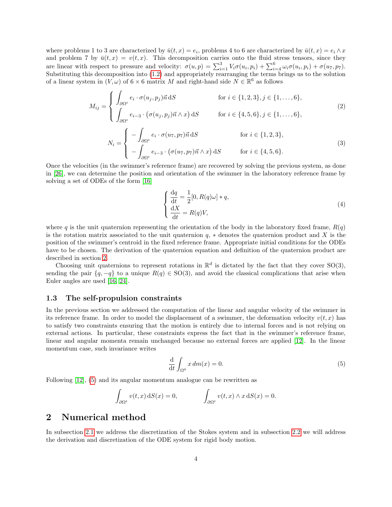where problems 1 to 3 are characterized by  $\bar{u}(t,x) = e_i$ , problems 4 to 6 are characterized by  $\bar{u}(t,x) = e_i \wedge x$ and problem 7 by  $\bar{u}(t, x) = v(t, x)$ . This decomposition carries onto the fluid stress tensors, since they are linear with respect to pressure and velocity:  $\sigma(u,p) = \sum_{i=1}^{3} V_i \sigma(u_i,p_i) + \sum_{i=4}^{6} \omega_i \sigma(u_i,p_i) + \sigma(u_7,p_7)$ . Substituting this decomposition into [\(1.2\)](#page-2-0) and appropriately rearranging the terms brings us to the solution of a linear system in  $(V, \omega)$  of  $6 \times 6$  matrix M and right-hand side  $N \in \mathbb{R}^6$  as follows

<span id="page-3-3"></span>
$$
M_{ij} = \begin{cases} \int_{\partial\Omega^t} e_i \cdot \sigma(u_j, p_j) \vec{n} \, dS & \text{for } i \in \{1, 2, 3\}, j \in \{1, \dots, 6\}, \\ \int_{\partial\Omega^t} e_{i-3} \cdot (\sigma(u_j, p_j) \vec{n} \wedge x) \, dS & \text{for } i \in \{4, 5, 6\}, j \in \{1, \dots, 6\}, \end{cases}
$$
\n
$$
\left( \begin{array}{cc} - \int e_i \cdot \sigma(u_7, p_7) \vec{n} \, dS & \text{for } i \in \{1, 2, 3\}, \end{array} \right)
$$
\n
$$
(2)
$$

<span id="page-3-4"></span>
$$
N_i = \begin{cases} -\int_{\partial\Omega^t} e_i \cdot \sigma(u_7, p_7) n \, dS & \text{for } i \in \{1, 2, 3\}, \\ -\int_{\partial\Omega^t} e_{i-3} \cdot (\sigma(u_7, p_7) n \wedge x) \, dS & \text{for } i \in \{4, 5, 6\}. \end{cases}
$$
(3)

Once the velocities (in the swimmer's reference frame) are recovered by solving the previous system, as done in [\[26\]](#page-13-12), we can determine the position and orientation of the swimmer in the laboratory reference frame by solving a set of ODEs of the form [\[16\]](#page-13-13)

<span id="page-3-2"></span>
$$
\begin{cases}\n\frac{\mathrm{d}q}{\mathrm{d}t} = \frac{1}{2}[0, R(q)\omega] * q, \\
\frac{\mathrm{d}X}{\mathrm{d}t} = R(q)V,\n\end{cases}
$$
\n(4)

where q is the unit quaternion representing the orientation of the body in the laboratory fixed frame,  $R(q)$ is the rotation matrix associated to the unit quaternion  $q$ ,  $*$  denotes the quaternion product and X is the position of the swimmer's centroid in the fixed reference frame. Appropriate initial conditions for the ODEs have to be chosen. The derivation of the quaternion equation and definition of the quaternion product are described in section [2.](#page-3-0)

Choosing unit quaternions to represent rotations in  $\mathbb{R}^d$  is dictated by the fact that they cover SO(3), sending the pair  $\{q, -q\}$  to a unique  $R(q) \in SO(3)$ , and avoid the classical complications that arise when Euler angles are used [\[16,](#page-13-13) [24\]](#page-13-14).

#### 1.3 The self-propulsion constraints

In the previous section we addressed the computation of the linear and angular velocity of the swimmer in its reference frame. In order to model the displacement of a swimmer, the deformation velocity  $v(t, x)$  has to satisfy two constraints ensuring that the motion is entirely due to internal forces and is not relying on external actions. In particular, these constraints express the fact that in the swimmer's reference frame, linear and angular momenta remain unchanged because no external forces are applied [\[12\]](#page-13-15). In the linear momentum case, such invariance writes

<span id="page-3-1"></span>
$$
\frac{\mathrm{d}}{\mathrm{d}t} \int_{\Omega^0} x \, dm(x) = 0. \tag{5}
$$

Following [\[12\]](#page-13-15), [\(5\)](#page-3-1) and its angular momentum analogue can be rewritten as

$$
\int_{\partial\Omega^t} v(t,x) \, \mathrm{d}S(x) = 0, \qquad \qquad \int_{\partial\Omega^t} v(t,x) \wedge x \, \mathrm{d}S(x) = 0.
$$

### <span id="page-3-0"></span>2 Numerical method

In subsection [2.1](#page-4-0) we address the discretization of the Stokes system and in subsection [2.2](#page-4-1) we will address the derivation and discretization of the ODE system for rigid body motion.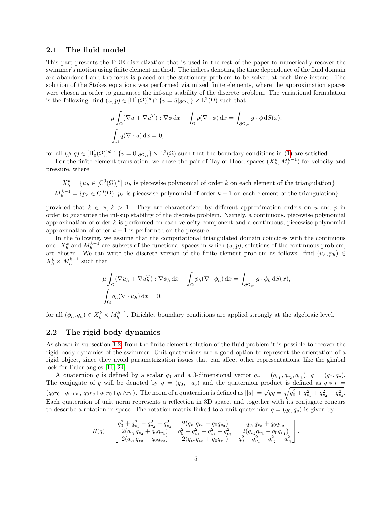#### <span id="page-4-0"></span>2.1 The fluid model

This part presents the PDE discretization that is used in the rest of the paper to numerically recover the swimmer's motion using finite element method. The indices denoting the time dependence of the fluid domain are abandoned and the focus is placed on the stationary problem to be solved at each time instant. The solution of the Stokes equations was performed via mixed finite elements, where the approximation spaces were chosen in order to guarantee the inf-sup stability of the discrete problem. The variational formulation is the following: find  $(u, p) \in [H^1(\Omega)]^d \cap \{v = \bar{u}|_{\partial \Omega_D}\} \times L^2(\Omega)$  such that

$$
\mu \int_{\Omega} (\nabla u + \nabla u^T) : \nabla \phi \, dx - \int_{\Omega} p(\nabla \cdot \phi) \, dx = \int_{\partial \Omega_N} g \cdot \phi \, dS(x),
$$
  

$$
\int_{\Omega} q(\nabla \cdot u) \, dx = 0,
$$

for all  $(\phi, q) \in [H_0^1(\Omega)]^d \cap \{v = 0 |_{\partial \Omega_D}\} \times L^2(\Omega)$  such that the boundary conditions in [\(1\)](#page-2-1) are satisfied.

For the finite element translation, we chose the pair of Taylor-Hood spaces  $(X_h^k, M_h^{k-1})$  for velocity and pressure, where

$$
X_h^k = \{u_h \in [C^0(\Omega)]^d | u_h \text{ is piecewise polynomial of order } k \text{ on each element of the triangulation}\}
$$
  

$$
M_h^{k-1} = \{p_h \in C^0(\Omega) | p_h \text{ is piecewise polynomial of order } k-1 \text{ on each element of the triangulation}\}
$$

provided that  $k \in \mathbb{N}, k > 1$ . They are characterized by different approximation orders on u and p in order to guarantee the inf-sup stability of the discrete problem. Namely, a continuous, piecewise polynomial approximation of order  $k$  is performed on each velocity component and a continuous, piecewise polynomial approximation of order  $k - 1$  is performed on the pressure.

In the following, we assume that the computational triangulated domain coincides with the continuous one.  $X_h^k$  and  $M_h^{k-1}$  are subsets of the functional spaces in which  $(u, p)$ , solutions of the continuous problem, are chosen. We can write the discrete version of the finite element problem as follows: find  $(u_h, p_h) \in$  $X_h^k \times M_h^{k-1}$  such that

$$
\mu \int_{\Omega} (\nabla u_h + \nabla u_h^T) : \nabla \phi_h \, dx - \int_{\Omega} p_h (\nabla \cdot \phi_h) \, dx = \int_{\partial \Omega_N} g \cdot \phi_h \, dS(x),
$$
  

$$
\int_{\Omega} q_h (\nabla \cdot u_h) \, dx = 0,
$$

for all  $(\phi_h, q_h) \in X_h^k \times M_h^{k-1}$ . Dirichlet boundary conditions are applied strongly at the algebraic level.

### <span id="page-4-1"></span>2.2 The rigid body dynamics

As shown in subsection [1.2,](#page-2-0) from the finite element solution of the fluid problem it is possible to recover the rigid body dynamics of the swimmer. Unit quaternions are a good option to represent the orientation of a rigid object, since they avoid parametrization issues that can affect other representations, like the gimbal lock for Euler angles [\[16,](#page-13-13) [24\]](#page-13-14).

A quaternion q is defined by a scalar  $q_0$  and a 3-dimensional vector  $q_v = (q_{v_1}, q_{v_2}, q_{v_3}), q = (q_0, q_v)$ . The conjugate of q will be denoted by  $\bar{q} = (q_0, -q_v)$  and the quaternion product is defined as  $q * r =$  $(q_0r_0-q_v\cdot r_v, q_0r_v+q_vr_0+q_v\wedge r_v)$ . The norm of a quaternion is defined as  $||q|| = \sqrt{q\bar{q}} = \sqrt{q_0^2+q_{v_1}^2+q_{v_2}^2+q_{v_3}^2}$ . Each quaternion of unit norm represents a reflection in 3D space, and together with its conjugate concurs to describe a rotation in space. The rotation matrix linked to a unit quaternion  $q = (q_0, q_v)$  is given by

$$
R(q) = \begin{bmatrix} q_0^2 + q_{v_1}^2 - q_{v_2}^2 - q_{v_3}^2 & 2(q_{v_1}q_{v_2} - q_0q_{v_3}) & q_{v_1}q_{v_3} + q_0q_{v_2} \\ 2(q_{v_1}q_{v_2} + q_0q_{v_3}) & q_0^2 - q_{v_1}^2 + q_{v_2}^2 - q_{v_3}^2 & 2(q_{v_2}q_{v_3} - q_0q_{v_1}) \\ 2(q_{v_1}q_{v_3} - q_0q_{v_2}) & 2(q_{v_2}q_{v_3} + q_0q_{v_1}) & q_0^2 - q_{v_1}^2 - q_{v_2}^2 + q_{v_3}^2 \end{bmatrix}.
$$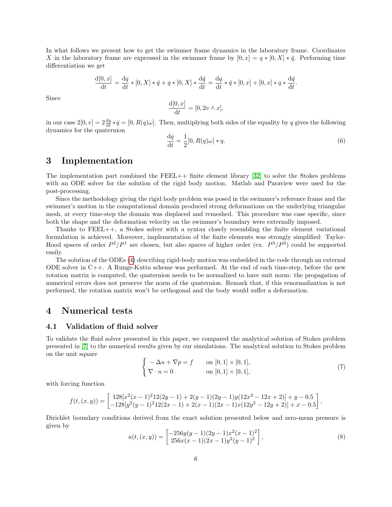In what follows we present how to get the swimmer frame dynamics in the laboratory frame. Coordinates X in the laboratory frame are expressed in the swimmer frame by  $[0, x] = q * [0, X] * \bar{q}$ . Performing time differentiation we get

$$
\frac{d[0,x]}{dt} = \frac{dq}{dt} * [0,X] * \bar{q} + q * [0,X] * \frac{d\bar{q}}{dt} = \frac{dq}{dt} * \bar{q} * [0,x] + [0,x] * q * \frac{d\bar{q}}{dt}.
$$

Since

$$
\frac{\mathrm{d}[0,x]}{\mathrm{d}t} = [0, 2v \wedge x],
$$

in our case  $2[0, v] = 2\frac{dq}{dt} * \bar{q} = [0, R(q)\omega]$ . Then, multiplying both sides of the equality by q gives the following dynamics for the quaternion

$$
\frac{\mathrm{d}q}{\mathrm{d}t} = \frac{1}{2}[0, R(q)\omega] * q. \tag{6}
$$

### <span id="page-5-0"></span>3 Implementation

The implementation part combined the FEEL++ finite element library [\[32\]](#page-14-6) to solve the Stokes problems with an ODE solver for the solution of the rigid body motion. Matlab and Paraview were used for the post-processing.

Since the methodology giving the rigid body problem was posed in the swimmer's reference frame and the swimmer's motion in the computational domain produced strong deformations on the underlying triangular mesh, at every time-step the domain was displaced and remeshed. This procedure was case specific, since both the shape and the deformation velocity on the swimmer's boundary were externally imposed.

Thanks to FEEL++, a Stokes solver with a syntax closely resembling the finite element variational formulation is achieved. Moreover, implementation of the finite elements was strongly simplified: Taylor-Hood spaces of order  $P^2/P^1$  are chosen, but also spaces of higher order (ex.  $P^3/P^2$ ) could be supported easily.

The solution of the ODEs [\(4\)](#page-3-2) describing rigid-body motion was embedded in the code through an external ODE solver in C++. A Runge-Kutta scheme was performed. At the end of each time-step, before the new rotation matrix is computed, the quaternion needs to be normalized to have unit norm: the propagation of numerical errors does not preserve the norm of the quaternion. Remark that, if this renormalization is not performed, the rotation matrix won't be orthogonal and the body would suffer a deformation.

### <span id="page-5-1"></span>4 Numerical tests

#### 4.1 Validation of fluid solver

To validate the fluid solver presented in this paper, we compared the analytical solution of Stokes problem presented in [\[7\]](#page-12-6) to the numerical results given by our simulations. The analytical solution to Stokes problem on the unit square

$$
\begin{cases}\n-\Delta u + \nabla p = f & \text{on } [0,1] \times [0,1], \\
\nabla \cdot u = 0 & \text{on } [0,1] \times [0,1],\n\end{cases}
$$
\n(7)

with forcing function

$$
f(t, (x, y)) = \begin{bmatrix} 128[x^2(x-1)^212(2y-1) + 2(y-1)(2y-1)y(12x^2-12x+2)] + y - 0.5 \\ -128[y^2(y-1)^212(2x-1) + 2(x-1)(2x-1)x(12y^2-12y+2)] + x - 0.5 \end{bmatrix},
$$

Dirichlet boundary conditions derived from the exact solution presented below and zero-mean pressure is given by

$$
u(t,(x,y)) = \begin{bmatrix} -256y(y-1)(2y-1)x^2(x-1)^2\\256x(x-1)(2x-1)y^2(y-1)^2 \end{bmatrix},
$$
\n(8)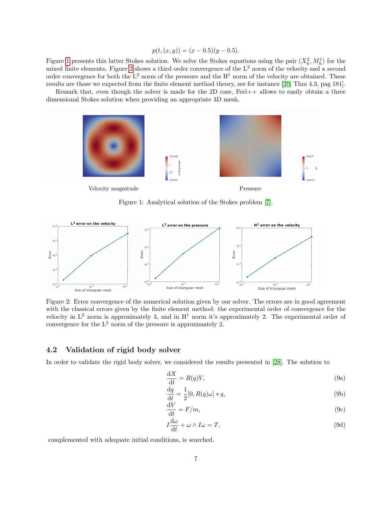$$
p(t, (x, y)) = (x - 0.5)(y - 0.5).
$$

Figure [1](#page-6-0) presents this latter Stokes solution. We solve the Stokes equations using the pair  $(X_h^2, M_h^1)$  for the mixed finite elements. Figure [2](#page-6-1) shows a third order convergence of the  $L^2$  norm of the velocity and a second order convergence for both the  $L^2$  norm of the pressure and the  $H^1$  norm of the velocity are obtained. These results are those we expected from the finite element method theory, see for instance [\[20,](#page-13-16) Thm 4.3, pag 181].

<span id="page-6-0"></span>Remark that, even though the solver is made for the 2D case, Feel++ allows to easily obtain a three dimensional Stokes solution when providing an appropriate 3D mesh.



Figure 1: Analytical solution of the Stokes problem [\[7\]](#page-12-6).

<span id="page-6-1"></span>

Figure 2: Error convergence of the numerical solution given by our solver. The errors are in good agreement with the classical errors given by the finite element method: the experimental order of convergence for the velocity in  $L^2$  norm is approximately 3, and in  $H^1$  norm it's approximately 2. The experimental order of convergence for the  $L^2$  norm of the pressure is approximately 2.

### 4.2 Validation of rigid body solver

In order to validate the rigid body solver, we considered the results presented in [\[28\]](#page-13-17). The solution to

$$
\frac{\mathrm{d}X}{\mathrm{d}t} = R(q)V,\tag{9a}
$$

<span id="page-6-2"></span>
$$
\frac{\mathrm{d}q}{\mathrm{d}t} = \frac{1}{2}[0, R(q)\omega] * q,\tag{9b}
$$

$$
\frac{\mathrm{d}V}{\mathrm{d}t} = F/m,\tag{9c}
$$

<span id="page-6-3"></span>
$$
I\frac{\mathrm{d}\omega}{\mathrm{d}t} + \omega \wedge I\omega = T,\tag{9d}
$$

complemented with adequate initial conditions, is searched.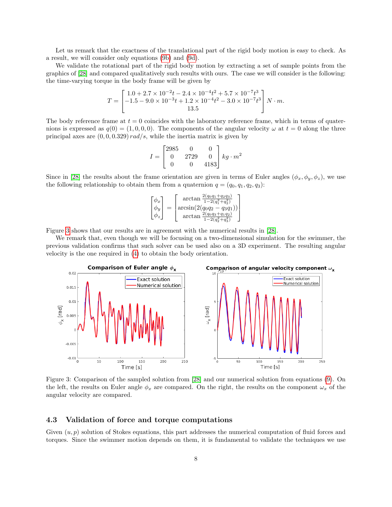Let us remark that the exactness of the translational part of the rigid body motion is easy to check. As a result, we will consider only equations [\(9b\)](#page-6-2) and [\(9d\)](#page-6-3).

We validate the rotational part of the rigid body motion by extracting a set of sample points from the graphics of [\[28\]](#page-13-17) and compared qualitatively such results with ours. The case we will consider is the following: the time-varying torque in the body frame will be given by

$$
T = \begin{bmatrix} 1.0 + 2.7 \times 10^{-2}t - 2.4 \times 10^{-4}t^2 + 5.7 \times 10^{-7}t^3 \\ -1.5 - 9.0 \times 10^{-3}t + 1.2 \times 10^{-4}t^2 - 3.0 \times 10^{-7}t^3 \\ 13.5 \end{bmatrix} N \cdot m.
$$

The body reference frame at  $t = 0$  coincides with the laboratory reference frame, which in terms of quaternions is expressed as  $q(0) = (1, 0, 0, 0)$ . The components of the angular velocity  $\omega$  at  $t = 0$  along the three principal axes are  $(0, 0, 0.329)$  rad/s, while the inertia matrix is given by

$$
I = \begin{bmatrix} 2985 & 0 & 0 \\ 0 & 2729 & 0 \\ 0 & 0 & 4183 \end{bmatrix} kg \cdot m^2
$$

Since in [\[28\]](#page-13-17) the results about the frame orientation are given in terms of Euler angles  $(\phi_x, \phi_y, \phi_z)$ , we use the following relationship to obtain them from a quaternion  $q = (q_0, q_1, q_2, q_3)$ :

$$
\begin{bmatrix} \phi_x \\ \phi_y \\ \phi_z \end{bmatrix} = \begin{bmatrix} \arctan \frac{2(q_0q_1 + q_2q_3)}{1 - 2(q_1^2 + q_2^2)} \\ \arcsin(2(q_0q_2 - q_3q_1)) \\ \arctan \frac{2(q_0q_3 + q_1q_2)}{1 - 2(q_2^2 + q_3^2)} \end{bmatrix}
$$

Figure [3](#page-7-0) shows that our results are in agreement with the numerical results in [\[28\]](#page-13-17).

We remark that, even though we will be focusing on a two-dimensional simulation for the swimmer, the previous validation confirms that such solver can be used also on a 3D experiment. The resulting angular velocity is the one required in [\(4\)](#page-3-2) to obtain the body orientation.

<span id="page-7-0"></span>

Figure 3: Comparison of the sampled solution from [\[28\]](#page-13-17) and our numerical solution from equations [\(9\)](#page-6-3). On the left, the results on Euler angle  $\phi_x$  are compared. On the right, the results on the component  $\omega_x$  of the angular velocity are compared.

#### 4.3 Validation of force and torque computations

Given  $(u, p)$  solution of Stokes equations, this part addresses the numerical computation of fluid forces and torques. Since the swimmer motion depends on them, it is fundamental to validate the techniques we use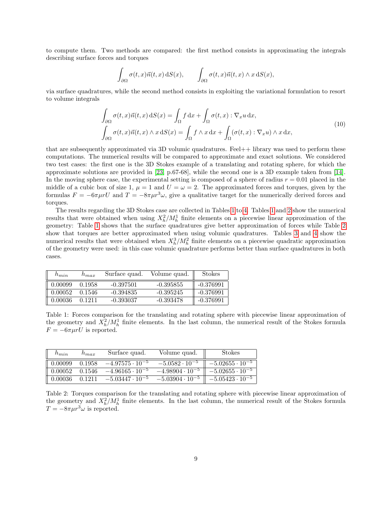to compute them. Two methods are compared: the first method consists in approximating the integrals describing surface forces and torques

$$
\int_{\partial\Omega}\sigma(t,x)\vec{n}(t,x)\,\mathrm{d}S(x),\qquad \int_{\partial\Omega}\sigma(t,x)\vec{n}(t,x)\wedge x\,\mathrm{d}S(x),
$$

via surface quadratures, while the second method consists in exploiting the variational formulation to resort to volume integrals

<span id="page-8-2"></span>
$$
\int_{\partial\Omega} \sigma(t, x)\vec{n}(t, x) dS(x) = \int_{\Omega} f dx + \int_{\Omega} \sigma(t, x) : \nabla_x u dx,
$$
\n
$$
\int_{\partial\Omega} \sigma(t, x)\vec{n}(t, x) \wedge x dS(x) = \int_{\Omega} f \wedge x dx + \int_{\Omega} (\sigma(t, x) : \nabla_x u) \wedge x dx,
$$
\n(10)

that are subsequently approximated via 3D volumic quadratures. Feel++ library was used to perform these computations. The numerical results will be compared to approximate and exact solutions. We considered two test cases: the first one is the 3D Stokes example of a translating and rotating sphere, for which the approximate solutions are provided in [\[23,](#page-13-18) p.67-68], while the second one is a 3D example taken from [\[14\]](#page-13-19). In the moving sphere case, the experimental setting is composed of a sphere of radius  $r = 0.01$  placed in the middle of a cubic box of size 1,  $\mu = 1$  and  $U = \omega = 2$ . The approximated forces and torques, given by the formulas  $F = -6\pi\mu rU$  and  $T = -8\pi\mu r^3\omega$ , give a qualitative target for the numerically derived forces and torques.

The results regarding the 3D Stokes case are collected in Tables [1](#page-8-0) to [4.](#page-9-0) Tables [1](#page-8-0) and [2](#page-8-1) show the numerical results that were obtained when using  $X_h^2/M_h^1$  finite elements on a piecewise linear approximation of the geometry: Table [1](#page-8-0) shows that the surface quadratures give better approximation of forces while Table [2](#page-8-1) show that torques are better approximated when using volumic quadratures. Tables [3](#page-9-1) and [4](#page-9-0) show the numerical results that were obtained when  $X_h^3/M_h^2$  finite elements on a piecewise quadratic approximation of the geometry were used: in this case volumic quadrature performs better than surface quadratures in both cases.

<span id="page-8-0"></span>

| $h_{min}$ | $h_{max}$ | Surface quad. | Volume quad. | <b>Stokes</b> |
|-----------|-----------|---------------|--------------|---------------|
| 0.00099   | 0.1958    | $-0.397501$   | $-0.395855$  | -0.376991     |
| 0.00052   | 0.1546    | $-0.394835$   | $-0.395245$  | -0.376991     |
| 0.00036   | 0.1211    | -0.393037     | -0.393478    | $-0.376991$   |

Table 1: Forces comparison for the translating and rotating sphere with piecewise linear approximation of the geometry and  $X_h^2/M_h^1$  finite elements. In the last column, the numerical result of the Stokes formula  $F = -6\pi \mu r U$  is reported.

<span id="page-8-1"></span>

| $n_{min}$                        | $h_{max}$ | Surface quad.            | Volume quad.             | <b>Stokes</b>            |
|----------------------------------|-----------|--------------------------|--------------------------|--------------------------|
| $\parallel 0.00099$              | 0.1958    | $-4.97575\cdot10^{-5}$   | $-5.0582 \cdot 10^{-5}$  | $-5.02655 \cdot 10^{-5}$ |
| $\parallel 0.00052 \quad 0.1546$ |           | $-4.96165 \cdot 10^{-5}$ | $-4.98904 \cdot 10^{-5}$ | $-5.02655 \cdot 10^{-5}$ |
| $\parallel$ 0.00036 0.1211       |           | $-5.03447 \cdot 10^{-5}$ | $-5.03904 \cdot 10^{-5}$ | $-5.05423 \cdot 10^{-5}$ |

Table 2: Torques comparison for the translating and rotating sphere with piecewise linear approximation of the geometry and  $X_h^2/M_h^1$  finite elements. In the last column, the numerical result of the Stokes formula  $T = -8\pi \mu r^3 \omega$  is reported.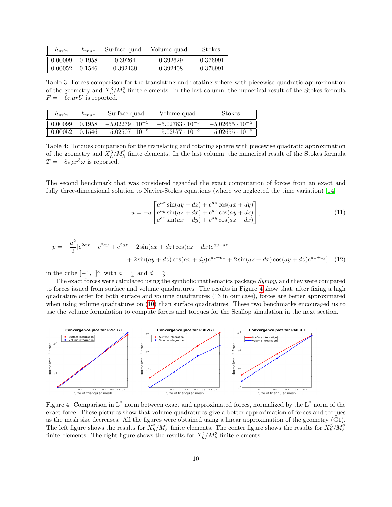<span id="page-9-1"></span>

| $n_{min}$ | $n_{max}$ | Surface quad. | Volume quad. | <b>Stokes</b> |
|-----------|-----------|---------------|--------------|---------------|
| 0.00099   | 0.1958    | $-0.39264$    | $-0.392629$  | -0.376991     |
| 0.00052   | 0.1546    | $-0.392439$   | $-0.392408$  | -0.376991     |

Table 3: Forces comparison for the translating and rotating sphere with piecewise quadratic approximation of the geometry and  $X_h^3/M_h^2$  finite elements. In the last column, the numerical result of the Stokes formula  $F = -6\pi \mu rU$  is reported.

<span id="page-9-0"></span>

| $n_{min}$           | $\mu_{max}$ | Surface quad. | Volume quad.                                                                                                      | <b>Stokes</b> |
|---------------------|-------------|---------------|-------------------------------------------------------------------------------------------------------------------|---------------|
| $\parallel 0.00099$ |             |               | 0.1958 $-5.02279 \cdot 10^{-5}$ $-5.02783 \cdot 10^{-5}$ $-5.02655 \cdot 10^{-5}$                                 |               |
|                     |             |               | $\parallel$ 0.00052 0.1546 $-5.02507 \cdot 10^{-5}$ $-5.02577 \cdot 10^{-5}$ $\parallel$ $-5.02655 \cdot 10^{-5}$ |               |

Table 4: Torques comparison for the translating and rotating sphere with piecewise quadratic approximation of the geometry and  $X_h^3/M_h^2$  finite elements. In the last column, the numerical result of the Stokes formula  $T = -8\pi\mu r^3 \omega$  is reported.

The second benchmark that was considered regarded the exact computation of forces from an exact and fully three-dimensional solution to Navier-Stokes equations (where we neglected the time variation) [\[14\]](#page-13-19)

$$
u = -a \begin{bmatrix} e^{ax}\sin(ay+dz) + e^{az}\cos(ax+dy) \\ e^{ay}\sin(az+dx) + e^{ax}\cos(ay+dz) \\ e^{az}\sin(ax+dy) + e^{ay}\cos(az+dx) \end{bmatrix},
$$
\n(11)

$$
p = -\frac{a^2}{2} \left[e^{2ax} + e^{2ay} + e^{2az} + 2\sin(ax + dz)\cos(ax + dx)e^{ay + az} + 2\sin(ay + dz)\cos(ax + dy)e^{az + ax} + 2\sin(az + dx)\cos(ay + dz)e^{ax + ay}\right]
$$
(12)

in the cube  $[-1, 1]^3$ , with  $a = \frac{\pi}{4}$  and  $d = \frac{\pi}{2}$ .

The exact forces were calculated using the symbolic mathematics package Sympy, and they were compared to forces issued from surface and volume quadratures. The results in Figure [4](#page-9-2) show that, after fixing a high quadrature order for both surface and volume quadratures (13 in our case), forces are better approximated when using volume quadratures on [\(10\)](#page-8-2) than surface quadratures. These two benchmarks encouraged us to use the volume formulation to compute forces and torques for the Scallop simulation in the next section.

<span id="page-9-2"></span>

Figure 4: Comparison in  $L^2$  norm between exact and approximated forces, normalized by the  $L^2$  norm of the exact force. These pictures show that volume quadratures give a better approximation of forces and torques as the mesh size decreases. All the figures were obtained using a linear approximation of the geometry (G1). The left figure shows the results for  $X_h^2/M_h^1$  finite elements. The center figure shows the results for  $X_h^3/M_h^2$ finite elements. The right figure shows the results for  $X_h^4/M_h^3$  finite elements.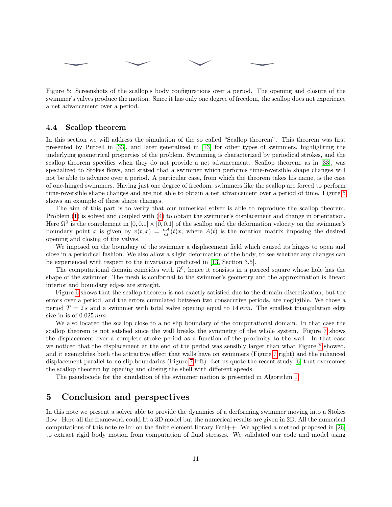<span id="page-10-0"></span>Figure 5: Screenshots of the scallop's body configurations over a period. The opening and closure of the swimmer's valves produce the motion. Since it has only one degree of freedom, the scallop does not experience a net advancement over a period.

#### 4.4 Scallop theorem

In this section we will address the simulation of the so called "Scallop theorem". This theorem was first presented by Purcell in [\[33\]](#page-14-0), and later generalized in [\[13\]](#page-13-0) for other types of swimmers, highlighting the underlying geometrical properties of the problem. Swimming is characterized by periodical strokes, and the scallop theorem specifies when they do not provide a net advancement. Scallop theorem, as in [\[33\]](#page-14-0), was specialized to Stokes flows, and stated that a swimmer which performs time-reversible shape changes will not be able to advance over a period. A particular case, from which the theorem takes his name, is the case of one-hinged swimmers. Having just one degree of freedom, swimmers like the scallop are forced to perform time-reversible shape changes and are not able to obtain a net advancement over a period of time. Figure [5](#page-10-0) shows an example of these shape changes.

The aim of this part is to verify that our numerical solver is able to reproduce the scallop theorem. Problem [\(1\)](#page-2-1) is solved and coupled with [\(4\)](#page-3-2) to obtain the swimmer's displacement and change in orientation. Here  $\Omega^0$  is the complement in  $[0, 0.1] \times [0, 0.1]$  of the scallop and the deformation velocity on the swimmer's boundary point x is given by  $v(t,x) = \frac{dA}{dt}(t)x$ , where  $A(t)$  is the rotation matrix imposing the desired opening and closing of the valves.

We imposed on the boundary of the swimmer a displacement field which caused its hinges to open and close in a periodical fashion. We also allow a slight deformation of the body, to see whether any changes can be experienced with respect to the invariance predicted in [\[13,](#page-13-0) Section 3.5].

The computational domain coincides with  $\Omega^0$ , hence it consists in a pierced square whose hole has the shape of the swimmer. The mesh is conformal to the swimmer's geometry and the approximation is linear: interior and boundary edges are straight.

Figure [6](#page-11-0) shows that the scallop theorem is not exactly satisfied due to the domain discretization, but the errors over a period, and the errors cumulated between two consecutive periods, are negligible. We chose a period  $T = 2 s$  and a swimmer with total valve opening equal to 14 mm. The smallest triangulation edge size in is of  $0.025$  mm.

We also located the scallop close to a no slip boundary of the computational domain. In that case the scallop theorem is not satsfied since the wall breaks the symmetry of the whole system. Figure [7](#page-11-1) shows the displacement over a complete stroke period as a function of the proximity to the wall. In that case we noticed that the displacement at the end of the period was sensibly larger than what Figure [6](#page-11-0) showed, and it exemplifies both the attractive effect that walls have on swimmers (Figure [7](#page-11-1) right) and the enhanced displacement parallel to no slip boundaries (Figure [7](#page-11-1) left). Let us quote the recent study [\[6\]](#page-12-7) that overcomes the scallop theorem by opening and closing the shell with different speeds.

The pseudocode for the simulation of the swimmer motion is presented in Algorithm [1.](#page-12-8)

# 5 Conclusion and perspectives

In this note we present a solver able to provide the dynamics of a derforming swimmer moving into a Stokes flow. Here all the framework could fit a 3D model but the numerical results are given in 2D. All the numerical computations of this note relied on the finite element library Feel++. We applied a method proposed in [\[26\]](#page-13-12) to extract rigid body motion from computation of fluid stresses. We validated our code and model using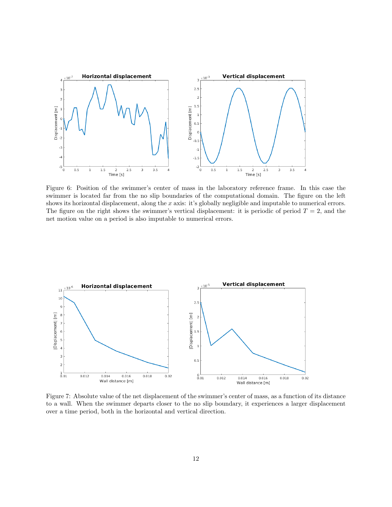<span id="page-11-0"></span>

Figure 6: Position of the swimmer's center of mass in the laboratory reference frame. In this case the swimmer is located far from the no slip boundaries of the computational domain. The figure on the left shows its horizontal displacement, along the x axis: it's globally negligible and imputable to numerical errors. The figure on the right shows the swimmer's vertical displacement: it is periodic of period  $T = 2$ , and the net motion value on a period is also imputable to numerical errors.

<span id="page-11-1"></span>

Figure 7: Absolute value of the net displacement of the swimmer's center of mass, as a function of its distance to a wall. When the swimmer departs closer to the no slip boundary, it experiences a larger displacement over a time period, both in the horizontal and vertical direction.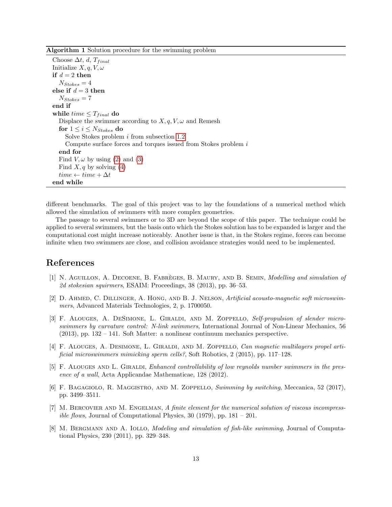<span id="page-12-8"></span>Algorithm 1 Solution procedure for the swimming problem

Choose  $\Delta t$ , d,  $T_{final}$ Initialize  $X, q, V, \omega$ if  $d = 2$  then  $N_{Stokes} = 4$ else if  $\sqrt{d} = 3$  then  $N_{Stokes} = 7$ end if while  $time \leq T_{final}$  do Displace the swimmer according to  $X, q, V, \omega$  and Remesh for  $1 \leq i \leq N_{Stokes}$  do Solve Stokes problem i from subsection [1.2](#page-2-0) Compute surface forces and torques issued from Stokes problem i end for Find  $V, \omega$  by using [\(2\)](#page-3-3) and [\(3\)](#page-3-4) Find  $X, q$  by solving [\(4\)](#page-3-2)  $time \leftarrow time + \Delta t$ end while

different benchmarks. The goal of this project was to lay the foundations of a numerical method which allowed the simulation of swimmers with more complex geometries.

The passage to several swimmers or to 3D are beyond the scope of this paper. The technique could be applied to several swimmers, but the basis onto which the Stokes solution has to be expanded is larger and the computational cost might increase noticeably. Another issue is that, in the Stokes regime, forces can become infinite when two swimmers are close, and collision avoidance strategies would need to be implemented.

### References

- <span id="page-12-4"></span>[1] N. AGUILLON, A. DECOENE, B. FABRÈGES, B. MAURY, AND B. SEMIN, *Modelling and simulation of* 2d stokesian squirmers, ESAIM: Proceedings, 38 (2013), pp. 36–53.
- <span id="page-12-0"></span>[2] D. AHMED, C. DILLINGER, A. HONG, AND B. J. NELSON, *Artificial acousto-magnetic soft microswim*mers, Advanced Materials Technologies, 2, p. 1700050.
- <span id="page-12-1"></span>[3] F. Alouges, A. DeSimone, L. Giraldi, and M. Zoppello, Self-propulsion of slender microswimmers by curvature control: N-link swimmers, International Journal of Non-Linear Mechanics, 56 (2013), pp. 132 – 141. Soft Matter: a nonlinear continuum mechanics perspective.
- <span id="page-12-2"></span>[4] F. Alouges, A. Desimone, L. Giraldi, and M. Zoppello, Can magnetic multilayers propel artificial microswimmers mimicking sperm cells?, Soft Robotics, 2 (2015), pp. 117–128.
- <span id="page-12-5"></span>[5] F. ALOUGES AND L. GIRALDI, Enhanced controllability of low reynolds number swimmers in the presence of a wall, Acta Applicandae Mathematicae, 128 (2012).
- <span id="page-12-7"></span>[6] F. BAGAGIOLO, R. MAGGISTRO, AND M. ZOPPELLO, Swimming by switching, Meccanica, 52 (2017), pp. 3499–3511.
- <span id="page-12-6"></span>[7] M. Bercovier and M. Engelman, A finite element for the numerical solution of viscous incompress*ible flows*, Journal of Computational Physics, 30 (1979), pp.  $181 - 201$ .
- <span id="page-12-3"></span>[8] M. BERGMANN AND A. IOLLO, *Modeling and simulation of fish-like swimming*, Journal of Computational Physics, 230 (2011), pp. 329–348.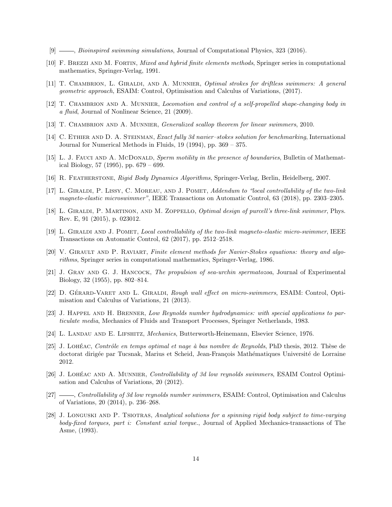- <span id="page-13-5"></span>[9]  $\_\_\_\_\$ general swimming simulations, Journal of Computational Physics, 323 (2016).
- <span id="page-13-11"></span>[10] F. BREZZI AND M. FORTIN, *Mixed and hybrid finite elements methods*, Springer series in computational mathematics, Springer-Verlag, 1991.
- <span id="page-13-10"></span>[11] T. CHAMBRION, L. GIRALDI, AND A. MUNNIER, *Optimal strokes for driftless swimmers: A general* geometric approach, ESAIM: Control, Optimisation and Calculus of Variations, (2017).
- <span id="page-13-15"></span>[12] T. CHAMBRION AND A. MUNNIER, Locomotion and control of a self-propelled shape-changing body in a fluid, Journal of Nonlinear Science, 21 (2009).
- <span id="page-13-0"></span>[13] T. CHAMBRION AND A. MUNNIER, *Generalized scallop theorem for linear swimmers*, 2010.
- <span id="page-13-19"></span>[14] C. ETHIER AND D. A. STEINMAN, Exact fully 3d navier-stokes solution for benchmarking, International Journal for Numerical Methods in Fluids, 19 (1994), pp. 369 – 375.
- <span id="page-13-6"></span>[15] L. J. FAUCI AND A. MCDONALD, Sperm motility in the presence of boundaries, Bulletin of Mathematical Biology, 57 (1995), pp. 679 – 699.
- <span id="page-13-13"></span>[16] R. FEATHERSTONE, Rigid Body Dynamics Algorithms, Springer-Verlag, Berlin, Heidelberg, 2007.
- <span id="page-13-3"></span>[17] L. GIRALDI, P. LISSY, C. MOREAU, AND J. POMET, Addendum to "local controllability of the two-link magneto-elastic microswimmer", IEEE Transactions on Automatic Control, 63 (2018), pp. 2303–2305.
- <span id="page-13-4"></span>[18] L. GIRALDI, P. MARTINON, AND M. ZOPPELLO, *Optimal design of purcell's three-link swimmer*, Phys. Rev. E, 91 (2015), p. 023012.
- <span id="page-13-2"></span>[19] L. Giraldi and J. Pomet, Local controllability of the two-link magneto-elastic micro-swimmer, IEEE Transactions on Automatic Control, 62 (2017), pp. 2512–2518.
- <span id="page-13-16"></span>[20] V. GIRAULT AND P. RAVIART, Finite element methods for Navier-Stokes equations: theory and algorithms, Springer series in computational mathematics, Springer-Verlag, 1986.
- <span id="page-13-1"></span>[21] J. GRAY AND G. J. HANCOCK, The propulsion of sea-urchin spermatozoa, Journal of Experimental Biology, 32 (1955), pp. 802–814.
- <span id="page-13-7"></span>[22] D. GÉRARD-VARET AND L. GIRALDI, Rough wall effect on micro-swimmers, ESAIM: Control, Optimisation and Calculus of Variations, 21 (2013).
- <span id="page-13-18"></span>[23] J. HAPPEL AND H. BRENNER, Low Reynolds number hydrodynamics: with special applications to particulate media, Mechanics of Fluids and Transport Processes, Springer Netherlands, 1983.
- <span id="page-13-14"></span>[24] L. Landau and E. Lifshitz, Mechanics, Butterworth-Heinemann, Elsevier Science, 1976.
- <span id="page-13-8"></span>[25] J. LOHÉAC, Contrôle en temps optimal et nage à bas nombre de Reynolds, PhD thesis, 2012. Thèse de doctorat dirigée par Tucsnak, Marius et Scheid, Jean-François Mathématiques Université de Lorraine 2012.
- <span id="page-13-12"></span>[26] J. LOHÉAC AND A. MUNNIER, *Controllability of 3d low reynolds swimmers*, ESAIM Control Optimisation and Calculus of Variations, 20 (2012).
- <span id="page-13-9"></span>[27] , Controllability of 3d low reynolds number swimmers, ESAIM: Control, Optimisation and Calculus of Variations, 20 (2014), p. 236–268.
- <span id="page-13-17"></span>[28] J. LONGUSKI AND P. TSIOTRAS, Analytical solutions for a spinning rigid body subject to time-varying body-fixed torques, part i: Constant axial torque., Journal of Applied Mechanics-transactions of The Asme, (1993).